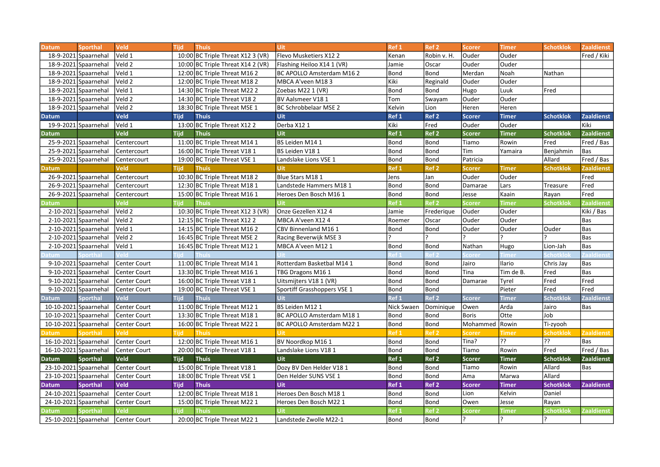| <b>Datum</b> | <b>Sporthal</b>       | <b>Veld</b>         | <b>Tijd</b> | <b>Thuis</b>                      | <b>Uit</b>                  | Ref 1            | Ref <sub>2</sub> | <b>Scorer</b> | <b>Timer</b> | <b>Schotklok</b> | <b>Zaaldienst</b> |
|--------------|-----------------------|---------------------|-------------|-----------------------------------|-----------------------------|------------------|------------------|---------------|--------------|------------------|-------------------|
|              | 18-9-2021 Spaarnehal  | Veld 1              |             | 10:00 BC Triple Threat X12 3 (VR) | Flevo Musketiers X12 2      | Kenan            | Robin v. H.      | Ouder         | Ouder        |                  | Fred / Kiki       |
|              | 18-9-2021 Spaarnehal  | Veld 2              |             | 10:00 BC Triple Threat X14 2 (VR) | Flashing Heiloo X14 1 (VR)  | Jamie            | Oscar            | Ouder         | Ouder        |                  |                   |
|              | 18-9-2021 Spaarnehal  | Veld 1              |             | 12:00 BC Triple Threat M16 2      | BC APOLLO Amsterdam M162    | Bond             | Bond             | Merdan        | Noah         | Nathan           |                   |
|              | 18-9-2021 Spaarnehal  | lVeld 2             |             | 12:00 BC Triple Threat M18 2      | MBCA A'veen M183            | Kiki             | Reginald         | Ouder         | Ouder        |                  |                   |
| 18-9-2021    | Spaarnehal            | Veld 1              |             | 14:30 BC Triple Threat M22 2      | Zoebas M22 1 (VR)           | Bond             | Bond             | Hugo          | Luuk         | Fred             |                   |
|              | 18-9-2021 Spaarnehal  | Veld 2              |             | 14:30 BC Triple Threat V18 2      | BV Aalsmeer V181            | Tom              | Swayam           | Ouder         | Ouder        |                  |                   |
|              | 18-9-2021 Spaarnehal  | Veld 2              |             | 18:30 BC Triple Threat MSE 1      | BC Schrobbelaar MSE 2       | Kelvin           | Lion             | Heren         | Heren        |                  |                   |
| <b>Datum</b> |                       | Veld                | <b>Tijd</b> | <b>Thuis</b>                      | Uit                         | Ref <sub>1</sub> | Ref <sub>2</sub> | <b>Scorer</b> | <b>Timer</b> | <b>Schotklok</b> | <b>Zaaldienst</b> |
|              | 19-9-2021 Spaarnehal  | lVeld 1             |             | 13:00 BC Triple Threat X12 2      | Derba X12 1                 | Kiki             | Fred             | lOuder        | Ouder        |                  | Kiki              |
| <b>Datum</b> |                       | Veld                | <b>Tijd</b> | <b>Thuis</b>                      | Uit                         | Ref <sub>1</sub> | Ref <sub>2</sub> | <b>Scorer</b> | <b>Timer</b> | <b>Schotklok</b> | <b>Zaaldienst</b> |
|              | 25-9-2021 Spaarnehal  | Centercourt         |             | 11:00 BC Triple Threat M14 1      | BS Leiden M141              | Bond             | Bond             | Tiamo         | Rowin        | Fred             | Fred / Bas        |
|              | 25-9-2021 Spaarnehal  | Centercourt         |             | 16:00 BC Triple Threat V18 1      | BS Leiden V181              | Bond             | Bond             | Tim           | Yamaira      | Benjahmin        | Bas               |
|              | 25-9-2021 Spaarnehal  | Centercourt         |             | 19:00 BC Triple Threat VSE 1      | Landslake Lions VSE 1       | Bond             | Bond             | Patricia      |              | Allard           | Fred / Bas        |
| <b>Datum</b> |                       | <b>Veld</b>         | <b>Tijd</b> | <b>Thuis</b>                      | <b>Uit</b>                  | Ref 1            | Ref <sub>2</sub> | <b>Scorer</b> | <b>Timer</b> | <b>Schotklok</b> | <b>Zaaldienst</b> |
|              | 26-9-2021 Spaarnehal  | Centercourt         |             | 10:30 BC Triple Threat M18 2      | Blue Stars M18 1            | Jens             | Jan              | Ouder         | Ouder        |                  | Fred              |
|              | 26-9-2021 Spaarnehal  | Centercourt         |             | 12:30 BC Triple Threat M18 1      | Landstede Hammers M18 1     | <b>Bond</b>      | Bond             | Damarae       | Lars         | Treasure         | Fred              |
|              | 26-9-2021 Spaarnehal  | Centercourt         |             | 15:00 BC Triple Threat M16 1      | Heroes Den Bosch M16 1      | <b>Bond</b>      | Bond             | Jesse         | Kaain        | Rayan            | Fred              |
| <b>Datum</b> |                       | Veld                | <b>Tiid</b> | <b>Thuis</b>                      |                             | Ref 1            | Ref <sub>2</sub> | <b>Scorer</b> | <b>Timer</b> | Schotklok        | <b>Zaaldienst</b> |
|              | 2-10-2021 Spaarnehal  | Veld 2              |             | 10:30 BC Triple Threat X12 3 (VR) | Onze Gezellen X12 4         | Jamie            | Frederique       | Ouder         | Ouder        |                  | Kiki / Bas        |
|              | 2-10-2021 Spaarnehal  | Veld 2              |             | 12:15 BC Triple Threat X12 2      | MBCA A'veen X12 4           | Roemer           | Oscar            | Ouder         | Ouder        |                  | Bas               |
|              | 2-10-2021 Spaarnehal  | Veld 1              |             | 14:15 BC Triple Threat M16 2      | CBV Binnenland M16 1        | Bond             | Bond             | Ouder         | Ouder        | Ouder            | Bas               |
|              | 2-10-2021 Spaarnehal  | Veld 2              |             | 16:45 BC Triple Threat MSE 2      | Racing Beverwijk MSE 3      |                  |                  |               |              |                  | Bas               |
|              | 2-10-2021 Spaarnehal  | Veld 1              |             | 16:45 BC Triple Threat M12 1      | MBCA A'veen M12 1           | Bond             | Bond             | Nathan        | Hugo         | Lion-Jah         | Bas               |
|              |                       |                     |             |                                   |                             |                  |                  | core          | lime         | chotklo          | aaldienst         |
|              | 9-10-2021 Spaarnehal  | <b>Center Court</b> |             | 11:00 BC Triple Threat M14 1      | Rotterdam Basketbal M14 1   | Bond             | Bond             | Jairo         | Ilario       | Chris Jay        | Bas               |
|              | 9-10-2021 Spaarnehal  | Center Court        |             | 13:30 BC Triple Threat M16 1      | TBG Dragons M16 1           | Bond             | Bond             | Tina          | Tim de B.    | Fred             | Bas               |
|              | 9-10-2021 Spaarnehal  | Center Court        |             | 16:00 BC Triple Threat V18 1      | Uitsmijters V18 1 (VR)      | Bond             | Bond             | Damarae       | Tyrel        | Fred             | Fred              |
|              | 9-10-2021 Spaarnehal  | <b>Center Court</b> |             | 19:00 BC Triple Threat VSE 1      | Sportiff Grasshoppers VSE 1 | Bond             | Bond             |               | Pieter       | Fred             | Fred              |
| <b>Datum</b> | <b>Sporthal</b>       | <b>Veld</b>         | <b>Tijd</b> | <b>Thuis</b>                      | Uit                         | Ref <sub>1</sub> | Ref <sub>2</sub> | <b>Scorer</b> | <b>Timer</b> | <b>Schotklok</b> | <b>Zaaldienst</b> |
|              | 10-10-2021 Spaarnehal | Center Court        |             | 11:00 BC Triple Threat M12 1      | BS Leiden M12 1             | Nick Swaen       | Dominique        | Owen          | Arda         | Jairo            | Bas               |
|              | 10-10-2021 Spaarnehal | Center Court        |             | 13:30 BC Triple Threat M18 1      | BC APOLLO Amsterdam M18 1   | Bond             | Bond             | Boris         | Otte         | Job              |                   |
|              | 10-10-2021 Spaarnehal | Center Court        |             | 16:00 BC Triple Threat M22 1      | BC APOLLO Amsterdam M22 1   | Bond             | Bond             | lMohammed     | <b>Rowin</b> | Ti-zyooh         |                   |
| Datum        | <b>Sporthal</b>       | veld l              | <b>Fijd</b> | <b>Thuis</b>                      | Uit                         | Ref 1            | Ref 2            | Scorer        | Timer        | Schotklok        | Zaaldienst        |
|              | 16-10-2021 Spaarnehal | Center Court        |             | 12:00 BC Triple Threat M16 1      | BV Noordkop M16 1           | Bond             | Bond             | Tina?         | ??           | ??               | <b>Bas</b>        |
|              | 16-10-2021 Spaarnehal | <b>Center Court</b> |             | 20:00 BC Triple Threat V18 1      | Landslake Lions V181        | Bond             | Bond             | Tiamo         | Rowin        | Fred             | Fred / Bas        |
| <b>Datum</b> | <b>Sporthal</b>       | <b>Veld</b>         | <b>Tijd</b> | <b>Thuis</b>                      | Uit                         | Ref <sub>1</sub> | Ref <sub>2</sub> | <b>Scorer</b> | <b>Timer</b> | <b>Schotklok</b> | <b>Zaaldienst</b> |
|              | 23-10-2021 Spaarnehal | Center Court        |             | 15:00 BC Triple Threat V18 1      | Dozy BV Den Helder V18 1    | Bond             | Bond             | Tiamo         | Rowin        | Allard           | Bas               |
|              | 23-10-2021 Spaarnehal | Center Court        |             | 18:00 BC Triple Threat VSE 1      | Den Helder SUNS VSE 1       | Bond             | Bond             | Ama           | Marwa        | Allard           |                   |
| <b>Datum</b> | <b>Sporthal</b>       | <b>Veld</b>         | <b>Tijd</b> | <b>Thuis</b>                      | Uit                         | Ref 1            | Ref <sub>2</sub> | <b>Scorer</b> | <b>Timer</b> | <b>Schotklok</b> | <b>Zaaldienst</b> |
|              | 24-10-2021 Spaarnehal | Center Court        |             | 12:00 BC Triple Threat M18 1      | Heroes Den Bosch M18 1      | Bond             | Bond             | Lion          | Kelvin       | Daniel           |                   |
|              | 24-10-2021 Spaarnehal | <b>Center Court</b> |             | 15:00 BC Triple Threat M22 1      | Heroes Den Bosch M22 1      | Bond             | Bond             | Owen          | Jesse        | Rayan            |                   |
| <b>Datum</b> | <b>Sporthal</b>       | Veld                | <b>Tijd</b> | <b>Thuis</b>                      | Uit                         | Ref 1            | Ref <sub>2</sub> | <b>Scorer</b> | <b>Timer</b> | Schotklok        | <b>Zaaldienst</b> |
|              | 25-10-2021 Spaarnehal | Center Court        |             | 20:00 BC Triple Threat M22 1      | Landstede Zwolle M22-1      | Bond             | Bond             | ?             | ς            | ן?               |                   |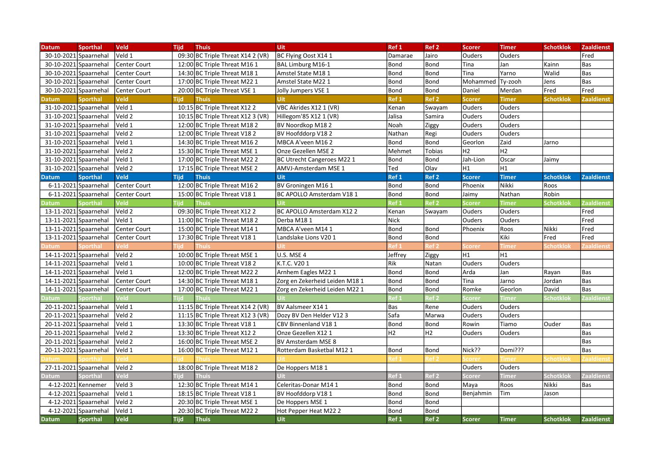| <b>Datum</b>            | <b>Sporthal</b>       | <b>Veld</b>         | <b>Tijd</b> | <b>Thuis</b>                        | <b>Uit</b>                     | Ref 1            | Ref <sub>2</sub> | <b>Scorer</b>  | <b>Timer</b>   | <b>Schotklok</b> | <b>Zaaldienst</b> |
|-------------------------|-----------------------|---------------------|-------------|-------------------------------------|--------------------------------|------------------|------------------|----------------|----------------|------------------|-------------------|
| 30-10-2021 Spaarnehal   |                       | Veld 1              |             | 09:30 BC Triple Threat X14 2 (VR)   | BC Flying Oost X14 1           | Damarae          | Jairo            | lOuders        | <b>Ouders</b>  |                  | Fred              |
| 30-10-2021 Spaarnehal   |                       | Center Court        |             | 12:00 BC Triple Threat M16 1        | BAL Limburg M16-1              | <b>Bond</b>      | Bond             | Tina           | Jan            | Kainn            | Bas               |
|                         | 30-10-2021 Spaarnehal | Center Court        |             | 14:30 BC Triple Threat M18 1        | Amstel State M18 1             | Bond             | Bond             | Tina           | Yarno          | Walid            | Bas               |
| 30-10-2021 Spaarnehal   |                       | Center Court        |             | 17:00 BC Triple Threat M22 1        | Amstel State M22 1             | <b>Bond</b>      | Bond             | Mohammed       | Ty-zooh        | Jens             | Bas               |
| 30-10-2021 Spaarnehal   |                       | <b>Center Court</b> |             | 20:00 BC Triple Threat VSE 1        | Jolly Jumpers VSE 1            | <b>Bond</b>      | Bond             | Daniel         | Merdan         | Fred             | Fred              |
| Datum                   | <b>Sporthal</b>       | <b>Veld</b>         | <b>Tijd</b> | <b>Thuis</b>                        | <b>Uit</b>                     | Ref 1            | Ref <sub>2</sub> | <b>Scorer</b>  | <b>Timer</b>   | <b>Schotklok</b> | <b>Zaaldienst</b> |
| 31-10-2021 Spaarnehal   |                       | Veld 1              |             | 10:15 BC Triple Threat X12 2        | VBC Akrides X12 1 (VR)         | Kenan            | Swayam           | Ouders         | Ouders         |                  |                   |
| 31-10-2021 Spaarnehal   |                       | Veld 2              |             | 10:15 BC Triple Threat X12 3 (VR)   | Hillegom'85 X12 1 (VR)         | Jalisa           | Samira           | Ouders         | Ouders         |                  |                   |
| 31-10-2021 Spaarnehal   |                       | Veld 1              |             | 12:00 BC Triple Threat M18 2        | BV Noordkop M18 2              | Noah             | Ziggy            | Ouders         | Ouders         |                  |                   |
| 31-10-2021 Spaarnehal   |                       | Veld 2              |             | 12:00 BC Triple Threat V18 2        | BV Hoofddorp V182              | Nathan           | Regi             | Ouders         | Ouders         |                  |                   |
| 31-10-2021 Spaarnehal   |                       | Veld 1              |             | 14:30 BC Triple Threat M16 2        | MBCA A'veen M16 2              | <b>Bond</b>      | Bond             | Georlon        | Zaid           | Jarno            |                   |
| 31-10-2021 Spaarnehal   |                       | Veld 2              |             | 15:30 BC Triple Threat MSE 1        | Onze Gezellen MSE 2            | Mehmet           | <b>Tobias</b>    | H <sub>2</sub> | H <sub>2</sub> |                  |                   |
| 31-10-2021 Spaarnehal   |                       | Veld 1              |             | 17:00 BC Triple Threat M22 2        | BC Utrecht Cangeroes M22 1     | Bond             | Bond             | Jah-Lion       | Oscar          | Jaimy            |                   |
| 31-10-2021 Spaarnehal   |                       | Veld 2              |             | 17:15 BC Triple Threat MSE 2        | AMVJ-Amsterdam MSE 1           | Ted              | Olav             | H1             | H1             |                  |                   |
| <b>Datum</b>            | <b>Sporthal</b>       | <b>Veld</b>         | <b>Tijd</b> | <b>Thuis</b>                        | Uit                            | Ref <sub>1</sub> | Ref <sub>2</sub> | <b>Scorer</b>  | <b>Timer</b>   | <b>Schotklok</b> | <b>Zaaldienst</b> |
|                         | 6-11-2021 Spaarnehal  | Center Court        |             | 12:00 BC Triple Threat M16 2        | BV Groningen M16 1             | Bond             | Bond             | Phoenix        | Nikki          | Roos             |                   |
|                         | 6-11-2021 Spaarnehal  | Center Court        |             | 15:00 BC Triple Threat V18 1        | BC APOLLO Amsterdam V18 1      | Bond             | Bond             | Jaimy          | Nathan         | Robin            |                   |
| Datum                   | <b>Sporthal</b>       | <b>Veld</b>         | <b>Tiid</b> | <b>Thuis</b>                        |                                | Ref 1            | Ref <sub>2</sub> | <b>Scorer</b>  | <b>Timer</b>   | <b>Schotklok</b> | <b>Zaaldienst</b> |
| 13-11-2021 Spaarnehal   |                       | Veld 2              |             | 09:30 BC Triple Threat X12 2        | BC APOLLO Amsterdam X12 2      | Kenan            | Swayam           | Ouders         | Ouders         |                  | Fred              |
| 13-11-2021 Spaarnehal   |                       | Veld 1              |             | 11:00 BC Triple Threat M18 2        | Derba M18 1                    | <b>Nick</b>      |                  | Ouders         | Ouders         |                  | Fred              |
| $13-11-2021$ Spaarnehal |                       | Center Court        |             | 15:00 BC Triple Threat M14 1        | MBCA A'veen M14 1              | Bond             | Bond             | Phoenix        | Roos           | Nikki            | Fred              |
| 13-11-2021 Spaarnehal   |                       | <b>Center Court</b> |             | 17:30 BC Triple Threat V18 1        | Landslake Lions V201           | Bond             | Bond             |                | Kiki           | <b>lFred</b>     | Fred              |
| atum                    | iporthal              | /eld                | riici       | <b>Thuis</b>                        |                                | lef 1            | Ref 2            | Scorer         | Timer          | ichotklol        | aaldienst         |
| 14-11-2021 Spaarnehal   |                       | Veld 2              |             | 10:00 BC Triple Threat MSE 1        | U.S. MSE 4                     | Jeffrey          | Ziggy            | lн1            | H <sub>1</sub> |                  |                   |
| 14-11-2021 Spaarnehal   |                       | Veld 1              |             | 10:00 BC Triple Threat V18 2        | K.T.C. V201                    | Rik              | Natan            | Ouders         | Ouders         |                  |                   |
| 14-11-2021 Spaarnehal   |                       | Veld 1              |             | 12:00 BC Triple Threat M22 2        | Arnhem Eagles M22 1            | Bond             | Bond             | Arda           | Jan            | Rayan            | Bas               |
|                         | 14-11-2021 Spaarnehal | Center Court        |             | 14:30 BC Triple Threat M18 1        | Zorg en Zekerheid Leiden M18 1 | Bond             | Bond             | Tina           | Jarno          | Jordan           | Bas               |
| 14-11-2021 Spaarnehal   |                       | Center Court        |             | 17:00 BC Triple Threat M22 1        | Zorg en Zekerheid Leiden M22 1 | Bond             | Bond             | Romke          | Georlon        | David            | Bas               |
| Datum                   | Sporthal              | /eld                | Tiid        | <b>Thuis</b>                        |                                | Ref 1            | Ref 2            | <b>Scorer</b>  | <b>Timer</b>   | Schotklol        | Zaaldienst        |
| 20-11-2021 Spaarnehal   |                       | Veld 1              |             | $11:15$ BC Triple Threat X14 2 (VR) | BV Aalsmeer X14 1              | Bas              | Rene             | Ouders         | Ouders         |                  |                   |
| 20-11-2021 Spaarnehal   |                       | Veld 2              |             | 11:15 BC Triple Threat X12 3 (VR)   | Dozy BV Den Helder V12 3       | Safa             | Marwa            | lOuders        | Ouders         |                  |                   |
| 20-11-2021 Spaarnehal   |                       | Veld 1              |             | 13:30 BC Triple Threat V18 1        | CBV Binnenland V18 1           | Bond             | Bond             | Rowin          | Tiamo          | Ouder            | Bas               |
| 20-11-2021 Spaarnehal   |                       | Veld 2              |             | 13:30 BC Triple Threat X12 2        | Onze Gezellen X12 1            | H <sub>2</sub>   | H <sub>2</sub>   | <b>Ouders</b>  | Ouders         |                  | Bas               |
| 20-11-2021 Spaarnehal   |                       | Veld 2              |             | 16:00 BC Triple Threat MSE 2        | <b>BV Amsterdam MSE 8</b>      |                  |                  |                |                |                  | Bas               |
| 20-11-2021 Spaarnehal   |                       | Veld 1              |             | 16:00 BC Triple Threat M12 1        | Rotterdam Basketbal M12 1      | <b>Bond</b>      | Bond             | Nick??         | Domi???        |                  | Bas               |
| atum                    | iporthal              |                     |             |                                     |                                | еtі              |                  | icorer         | Timeı          | Schotklol        | aaldienst         |
| 27-11-2021 Spaarnehal   |                       | Veld 2              |             | 18:00 BC Triple Threat M18 2        | De Hoppers M18 1               |                  |                  | Ouders         | Ouders         |                  |                   |
| Datum                   | Sporthal              | Veld                | <b>Tiid</b> | <b>Thuis</b>                        |                                | Ref 1            | Ref <sub>2</sub> | Scorer         | <b>Timer</b>   | Schotklok        | <b>Zaaldienst</b> |
|                         | 4-12-2021 Kennemer    | Veld 3              |             | 12:30 BC Triple Threat M14 1        | Celeritas-Donar M14 1          | <b>Bond</b>      | Bond             | Maya           | Roos           | Nikki            | Bas               |
|                         | 4-12-2021 Spaarnehal  | Veld 1              |             | 18:15 BC Triple Threat V18 1        | BV Hoofddorp V18 1             | <b>Bond</b>      | <b>Bond</b>      | Benjahmin      | Tim            | Jason            |                   |
|                         | 4-12-2021 Spaarnehal  | Veld 2              |             | 20:30 BC Triple Threat MSE 1        | De Hoppers MSE 1               | Bond             | Bond             |                |                |                  |                   |
| 4-12-2021               | Spaarnehal            | Veld 1              |             | 20:30 BC Triple Threat M22 2        | Hot Pepper Heat M22 2          | Bond             | Bond             |                |                |                  |                   |
| <b>Datum</b>            | <b>Sporthal</b>       | <b>Veld</b>         | <b>Tijd</b> | <b>Thuis</b>                        | Uit                            | Ref 1            | Ref <sub>2</sub> | <b>Scorer</b>  | <b>Timer</b>   | <b>Schotklok</b> | <b>Zaaldienst</b> |